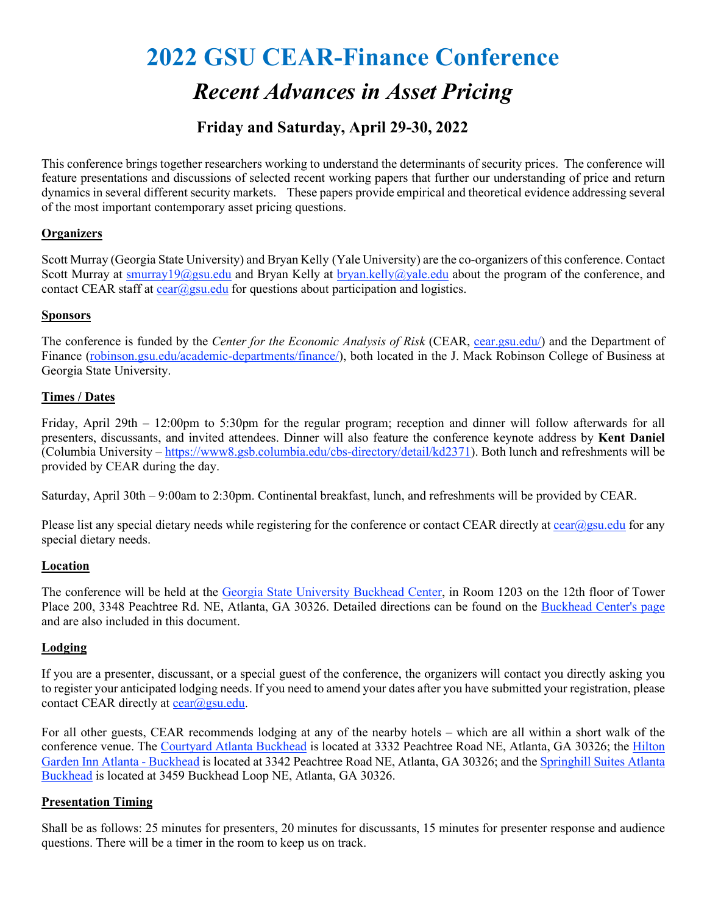# **2022 GSU CEAR-Finance Conference**

## *Recent Advances in Asset Pricing*

## **Friday and Saturday, April 29-30, 2022**

This conference brings together researchers working to understand the determinants of security prices. The conference will feature presentations and discussions of selected recent working papers that further our understanding of price and return dynamics in several different security markets. These papers provide empirical and theoretical evidence addressing several of the most important contemporary asset pricing questions.

#### **Organizers**

Scott Murray (Georgia State University) and Bryan Kelly (Yale University) are the co-organizers of this conference. Contact Scott Murray at [smurray19@gsu.edu](mailto:smurray19@gsu.edu) and Bryan Kelly at [bryan.kelly@yale.edu](mailto:bryan.kelly@yale.edu) about the program of the conference, and contact CEAR staff at  $c \frac{ear(0)gsu.edu}{c}$  for questions about participation and logistics.

#### **Sponsors**

The conference is funded by the *Center for the Economic Analysis of Risk* (CEAR, [cear.gsu.edu/\)](https://cear.gsu.edu/) and the Department of Finance [\(robinson.gsu.edu/academic-departments/finance/\)](https://robinson.gsu.edu/academic-departments/finance/), both located in the J. Mack Robinson College of Business at Georgia State University.

#### **Times / Dates**

Friday, April 29th – 12:00pm to 5:30pm for the regular program; reception and dinner will follow afterwards for all presenters, discussants, and invited attendees. Dinner will also feature the conference keynote address by **Kent Daniel** (Columbia University – [https://www8.gsb.columbia.edu/cbs-directory/detail/kd2371\)](https://www8.gsb.columbia.edu/cbs-directory/detail/kd2371). Both lunch and refreshments will be provided by CEAR during the day.

Saturday, April 30th – 9:00am to 2:30pm. Continental breakfast, lunch, and refreshments will be provided by CEAR.

Please list any special dietary needs while registering for the conference or contact CEAR directly at  $cear \omega gsu.edu$  for any special dietary needs.

#### **Location**

The conference will be held at the [Georgia State University Buckhead Center,](https://goo.gl/maps/zD8El) in Room 1203 on the 12th floor of Tower Place 200, 3348 Peachtree Rd. NE, Atlanta, GA 30326. Detailed directions can be found on the [Buckhead Center's page](https://robinson.gsu.edu/discover-robinson/#locations) and are also included in this document.

#### **Lodging**

If you are a presenter, discussant, or a special guest of the conference, the organizers will contact you directly asking you to register your anticipated lodging needs. If you need to amend your dates after you have submitted your registration, please contact CEAR directly at  $cear@gsu.edu$ .

For all other guests, CEAR recommends lodging at any of the nearby hotels – which are all within a short walk of the conference venue. The [Courtyard Atlanta Buckhead](https://www.marriott.com/hotels/travel/atlcb-courtyard-atlanta-buckhead/) is located at 3332 Peachtree Road NE, Atlanta, GA 30326; the [Hilton](https://www.hilton.com/en/hotels/atlkhgi-hilton-garden-inn-atlanta-buckhead/)  [Garden Inn Atlanta - Buckhead](https://www.hilton.com/en/hotels/atlkhgi-hilton-garden-inn-atlanta-buckhead/) is located at 3342 Peachtree Road NE, Atlanta, GA 30326; and the [Springhill Suites Atlanta](https://www.marriott.com/hotels/travel/atlab-springhill-suites-atlanta-buckhead/)  [Buckhead](https://www.marriott.com/hotels/travel/atlab-springhill-suites-atlanta-buckhead/) is located at 3459 Buckhead Loop NE, Atlanta, GA 30326.

#### **Presentation Timing**

Shall be as follows: 25 minutes for presenters, 20 minutes for discussants, 15 minutes for presenter response and audience questions. There will be a timer in the room to keep us on track.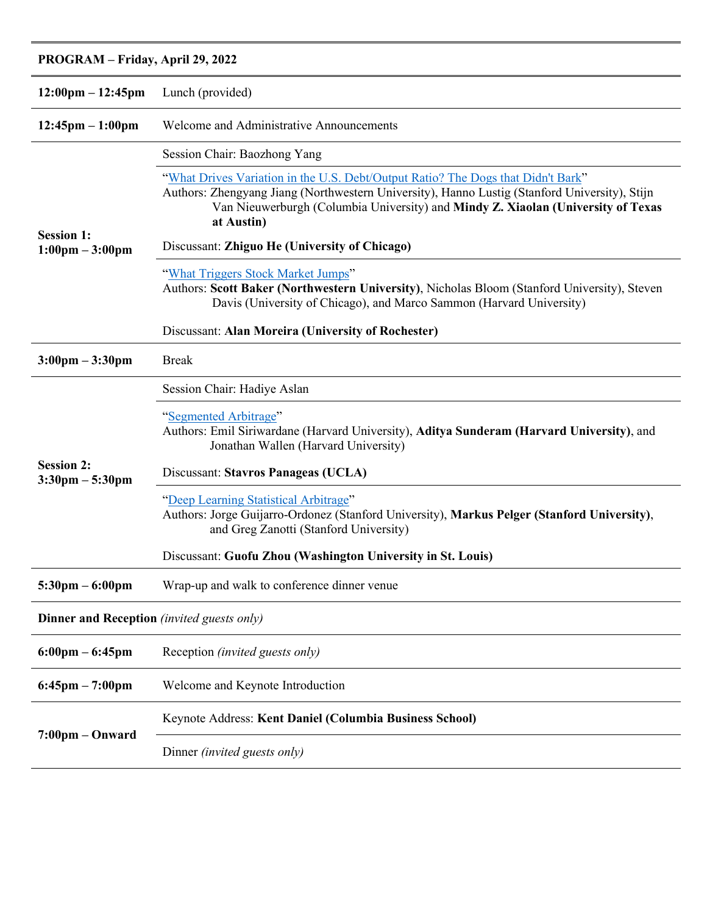## **PROGRAM – Friday, April 29, 2022**

| $12:00 \text{pm} - 12:45 \text{pm}$                    | Lunch (provided)                                                                                                                                                                                                                                                                    |
|--------------------------------------------------------|-------------------------------------------------------------------------------------------------------------------------------------------------------------------------------------------------------------------------------------------------------------------------------------|
| $12:45$ pm $-1:00$ pm                                  | Welcome and Administrative Announcements                                                                                                                                                                                                                                            |
| <b>Session 1:</b><br>$1:00 \text{pm} - 3:00 \text{pm}$ | Session Chair: Baozhong Yang                                                                                                                                                                                                                                                        |
|                                                        | "What Drives Variation in the U.S. Debt/Output Ratio? The Dogs that Didn't Bark"<br>Authors: Zhengyang Jiang (Northwestern University), Hanno Lustig (Stanford University), Stijn<br>Van Nieuwerburgh (Columbia University) and Mindy Z. Xiaolan (University of Texas<br>at Austin) |
|                                                        | Discussant: Zhiguo He (University of Chicago)                                                                                                                                                                                                                                       |
|                                                        | "What Triggers Stock Market Jumps"<br>Authors: Scott Baker (Northwestern University), Nicholas Bloom (Stanford University), Steven<br>Davis (University of Chicago), and Marco Sammon (Harvard University)                                                                          |
|                                                        | Discussant: Alan Moreira (University of Rochester)                                                                                                                                                                                                                                  |
| $3:00 \text{pm} - 3:30 \text{pm}$                      | <b>Break</b>                                                                                                                                                                                                                                                                        |
| <b>Session 2:</b><br>$3:30 \text{pm} - 5:30 \text{pm}$ | Session Chair: Hadiye Aslan                                                                                                                                                                                                                                                         |
|                                                        | "Segmented Arbitrage"<br>Authors: Emil Siriwardane (Harvard University), Aditya Sunderam (Harvard University), and<br>Jonathan Wallen (Harvard University)                                                                                                                          |
|                                                        | Discussant: Stavros Panageas (UCLA)                                                                                                                                                                                                                                                 |
|                                                        | "Deep Learning Statistical Arbitrage"<br>Authors: Jorge Guijarro-Ordonez (Stanford University), Markus Pelger (Stanford University),<br>and Greg Zanotti (Stanford University)                                                                                                      |
|                                                        | Discussant: Guofu Zhou (Washington University in St. Louis)                                                                                                                                                                                                                         |
| $5:30 \text{pm} - 6:00 \text{pm}$                      | Wrap-up and walk to conference dinner venue                                                                                                                                                                                                                                         |
| <b>Dinner and Reception</b> (invited guests only)      |                                                                                                                                                                                                                                                                                     |
| $6:00 \text{pm} - 6:45 \text{pm}$                      | Reception (invited guests only)                                                                                                                                                                                                                                                     |
| $6:45$ pm $-7:00$ pm                                   | Welcome and Keynote Introduction                                                                                                                                                                                                                                                    |
| $7:00 \text{pm} - \text{Onward}$                       | Keynote Address: Kent Daniel (Columbia Business School)                                                                                                                                                                                                                             |
|                                                        | Dinner (invited guests only)                                                                                                                                                                                                                                                        |
|                                                        |                                                                                                                                                                                                                                                                                     |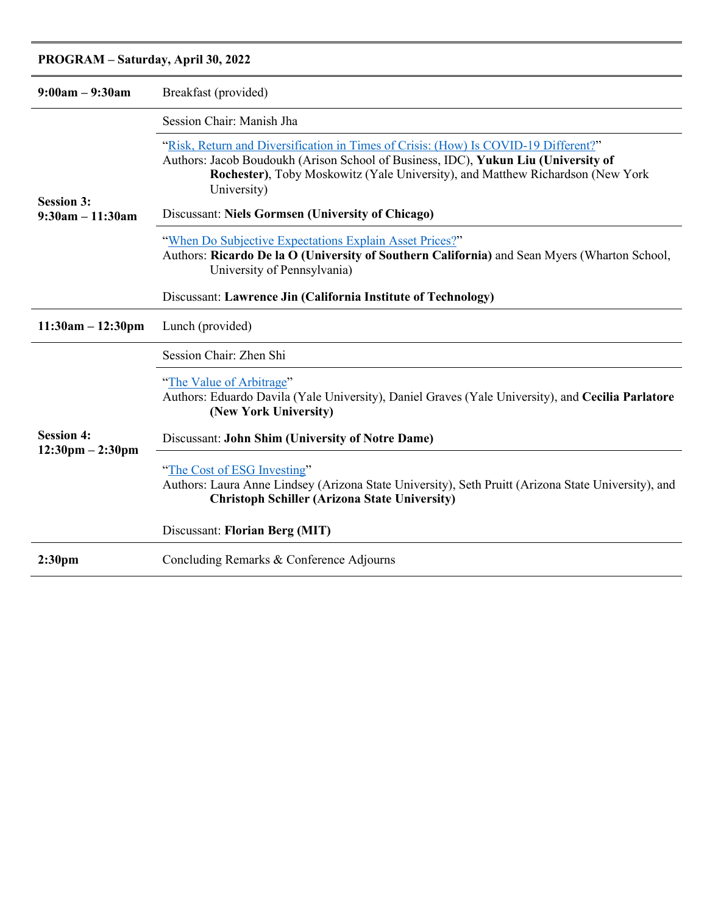### **PROGRAM – Saturday, April 30, 2022**

| $9:00am - 9:30am$                                       | Breakfast (provided)                                                                                                                                                                                                                                                       |
|---------------------------------------------------------|----------------------------------------------------------------------------------------------------------------------------------------------------------------------------------------------------------------------------------------------------------------------------|
| <b>Session 3:</b><br>$9:30am - 11:30am$                 | Session Chair: Manish Jha                                                                                                                                                                                                                                                  |
|                                                         | "Risk, Return and Diversification in Times of Crisis: (How) Is COVID-19 Different?"<br>Authors: Jacob Boudoukh (Arison School of Business, IDC), Yukun Liu (University of<br>Rochester), Toby Moskowitz (Yale University), and Matthew Richardson (New York<br>University) |
|                                                         | Discussant: Niels Gormsen (University of Chicago)                                                                                                                                                                                                                          |
|                                                         | "When Do Subjective Expectations Explain Asset Prices?"<br>Authors: Ricardo De la O (University of Southern California) and Sean Myers (Wharton School,<br>University of Pennsylvania)                                                                                     |
|                                                         | Discussant: Lawrence Jin (California Institute of Technology)                                                                                                                                                                                                              |
| $11:30am - 12:30pm$                                     | Lunch (provided)                                                                                                                                                                                                                                                           |
| <b>Session 4:</b><br>$12:30 \text{pm} - 2:30 \text{pm}$ | Session Chair: Zhen Shi                                                                                                                                                                                                                                                    |
|                                                         | "The Value of Arbitrage"<br>Authors: Eduardo Davila (Yale University), Daniel Graves (Yale University), and Cecilia Parlatore<br>(New York University)                                                                                                                     |
|                                                         | Discussant: John Shim (University of Notre Dame)                                                                                                                                                                                                                           |
|                                                         | "The Cost of ESG Investing"<br>Authors: Laura Anne Lindsey (Arizona State University), Seth Pruitt (Arizona State University), and<br><b>Christoph Schiller (Arizona State University)</b>                                                                                 |
|                                                         | Discussant: Florian Berg (MIT)                                                                                                                                                                                                                                             |
| 2:30 <sub>pm</sub>                                      | Concluding Remarks & Conference Adjourns                                                                                                                                                                                                                                   |